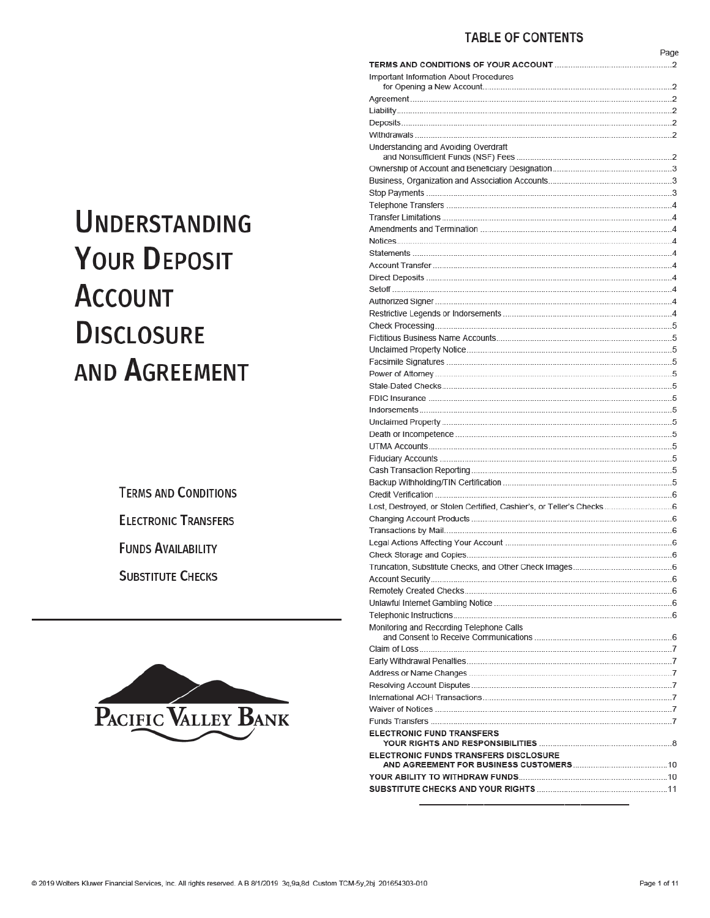## **TABLE OF CONTENTS**

|                                                                     | Page |
|---------------------------------------------------------------------|------|
|                                                                     |      |
| Important Information About Procedures                              |      |
|                                                                     |      |
|                                                                     |      |
|                                                                     |      |
|                                                                     |      |
| Understanding and Avoiding Overdraft                                |      |
|                                                                     |      |
|                                                                     |      |
|                                                                     |      |
|                                                                     |      |
|                                                                     |      |
|                                                                     |      |
|                                                                     |      |
|                                                                     |      |
|                                                                     |      |
|                                                                     |      |
|                                                                     |      |
|                                                                     |      |
|                                                                     |      |
|                                                                     |      |
|                                                                     |      |
|                                                                     |      |
|                                                                     |      |
|                                                                     |      |
|                                                                     |      |
|                                                                     |      |
|                                                                     |      |
|                                                                     |      |
|                                                                     |      |
|                                                                     |      |
|                                                                     |      |
|                                                                     |      |
|                                                                     |      |
|                                                                     |      |
| Lost, Destroyed, or Stolen Certified, Cashier's, or Teller's Checks |      |
|                                                                     |      |
|                                                                     |      |
|                                                                     |      |
|                                                                     |      |
|                                                                     |      |
|                                                                     |      |
|                                                                     |      |
|                                                                     |      |
|                                                                     |      |
| Monitoring and Recording Telephone Calls                            |      |
|                                                                     |      |
|                                                                     |      |
|                                                                     |      |
|                                                                     |      |
|                                                                     |      |
|                                                                     |      |
|                                                                     |      |
| <b>ELECTRONIC FUND TRANSFERS</b>                                    |      |
|                                                                     |      |
| ELECTRONIC FUNDS TRANSFERS DISCLOSURE                               |      |
|                                                                     |      |
|                                                                     |      |
|                                                                     |      |

# **UNDERSTANDING YOUR DEPOSIT ACCOUNT DISCLOSURE AND AGREEMENT**

**TERMS AND CONDITIONS ELECTRONIC TRANSFERS FUNDS AVAILABILITY SUBSTITUTE CHECKS** 

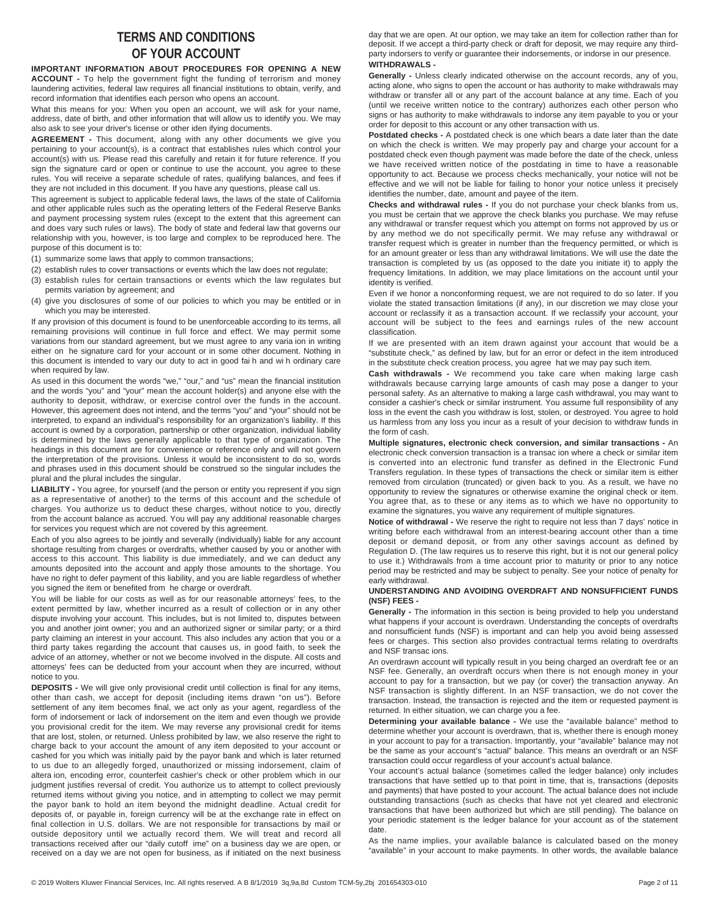## **TERMS AND CONDITIONS OF YOUR ACCOUNT**

**IMPORTANT INFORMATION ABOUT PROCEDURES FOR OPENING A NEW ACCOUNT -** To help the government fight the funding of terrorism and money laundering activities, federal law requires all financial institutions to obtain, verify, and record information that identifies each person who opens an account.

What this means for you: When you open an account, we will ask for your name, address, date of birth, and other information that will allow us to identify you. We may also ask to see your driver's license or other iden ifying documents.

**AGREEMENT -** This document, along with any other documents we give you pertaining to your account(s), is a contract that establishes rules which control your account(s) with us. Please read this carefully and retain it for future reference. If you sign the signature card or open or continue to use the account, you agree to these rules. You will receive a separate schedule of rates, qualifying balances, and fees if they are not included in this document. If you have any questions, please call us.

This agreement is subject to applicable federal laws, the laws of the state of California and other applicable rules such as the operating letters of the Federal Reserve Banks and payment processing system rules (except to the extent that this agreement can and does vary such rules or laws). The body of state and federal law that governs our relationship with you, however, is too large and complex to be reproduced here. The purpose of this document is to:

(1) summarize some laws that apply to common transactions;

- (2) establish rules to cover transactions or events which the law does not regulate;
- (3) establish rules for certain transactions or events which the law regulates but permits variation by agreement; and
- (4) give you disclosures of some of our policies to which you may be entitled or in which you may be interested.

If any provision of this document is found to be unenforceable according to its terms, all remaining provisions will continue in full force and effect. We may permit some variations from our standard agreement, but we must agree to any varia ion in writing either on he signature card for your account or in some other document. Nothing in this document is intended to vary our duty to act in good fai h and wi h ordinary care when required by law.

As used in this document the words "we," "our," and "us" mean the financial institution and the words "you" and "your" mean the account holder(s) and anyone else with the authority to deposit, withdraw, or exercise control over the funds in the account. However, this agreement does not intend, and the terms "you" and "your" should not be interpreted, to expand an individual's responsibility for an organization's liability. If this account is owned by a corporation, partnership or other organization, individual liability is determined by the laws generally applicable to that type of organization. The headings in this document are for convenience or reference only and will not govern the interpretation of the provisions. Unless it would be inconsistent to do so, words and phrases used in this document should be construed so the singular includes the plural and the plural includes the singular.

**LIABILITY -** You agree, for yourself (and the person or entity you represent if you sign as a representative of another) to the terms of this account and the schedule of charges. You authorize us to deduct these charges, without notice to you, directly from the account balance as accrued. You will pay any additional reasonable charges for services you request which are not covered by this agreement.

Each of you also agrees to be jointly and severally (individually) liable for any account shortage resulting from charges or overdrafts, whether caused by you or another with access to this account. This liability is due immediately, and we can deduct any amounts deposited into the account and apply those amounts to the shortage. You have no right to defer payment of this liability, and you are liable regardless of whether you signed the item or benefited from he charge or overdraft.

You will be liable for our costs as well as for our reasonable attorneys' fees, to the extent permitted by law, whether incurred as a result of collection or in any other dispute involving your account. This includes, but is not limited to, disputes between you and another joint owner; you and an authorized signer or similar party; or a third party claiming an interest in your account. This also includes any action that you or a third party takes regarding the account that causes us, in good faith, to seek the advice of an attorney, whether or not we become involved in the dispute. All costs and attorneys' fees can be deducted from your account when they are incurred, without notice to you.

**DEPOSITS -** We will give only provisional credit until collection is final for any items, other than cash, we accept for deposit (including items drawn "on us"). Before settlement of any item becomes final, we act only as your agent, regardless of the form of indorsement or lack of indorsement on the item and even though we provide you provisional credit for the item. We may reverse any provisional credit for items that are lost, stolen, or returned. Unless prohibited by law, we also reserve the right to charge back to your account the amount of any item deposited to your account or cashed for you which was initially paid by the payor bank and which is later returned to us due to an allegedly forged, unauthorized or missing indorsement, claim of altera ion, encoding error, counterfeit cashier's check or other problem which in our judgment justifies reversal of credit. You authorize us to attempt to collect previously returned items without giving you notice, and in attempting to collect we may permit the payor bank to hold an item beyond the midnight deadline. Actual credit for deposits of, or payable in, foreign currency will be at the exchange rate in effect on final collection in U.S. dollars. We are not responsible for transactions by mail or outside depository until we actually record them. We will treat and record all transactions received after our "daily cutoff ime" on a business day we are open, or received on a day we are not open for business, as if initiated on the next business day that we are open. At our option, we may take an item for collection rather than for deposit. If we accept a third-party check or draft for deposit, we may require any thirdparty indorsers to verify or guarantee their indorsements, or indorse in our presence. **WITHDRAWALS -** 

**Generally -** Unless clearly indicated otherwise on the account records, any of you, acting alone, who signs to open the account or has authority to make withdrawals may withdraw or transfer all or any part of the account balance at any time. Each of you (until we receive written notice to the contrary) authorizes each other person who signs or has authority to make withdrawals to indorse any item payable to you or your order for deposit to this account or any other transaction with us.

**Postdated checks -** A postdated check is one which bears a date later than the date on which the check is written. We may properly pay and charge your account for a postdated check even though payment was made before the date of the check, unless we have received written notice of the postdating in time to have a reasonable opportunity to act. Because we process checks mechanically, your notice will not be effective and we will not be liable for failing to honor your notice unless it precisely identifies the number, date, amount and payee of the item.

**Checks and withdrawal rules -** If you do not purchase your check blanks from us, you must be certain that we approve the check blanks you purchase. We may refuse any withdrawal or transfer request which you attempt on forms not approved by us or by any method we do not specifically permit. We may refuse any withdrawal or transfer request which is greater in number than the frequency permitted, or which is for an amount greater or less than any withdrawal limitations. We will use the date the transaction is completed by us (as opposed to the date you initiate it) to apply the frequency limitations. In addition, we may place limitations on the account until your identity is verified.

Even if we honor a nonconforming request, we are not required to do so later. If you violate the stated transaction limitations (if any), in our discretion we may close your account or reclassify it as a transaction account. If we reclassify your account, your account will be subject to the fees and earnings rules of the new account classification.

If we are presented with an item drawn against your account that would be a "substitute check," as defined by law, but for an error or defect in the item introduced in the substitute check creation process, you agree hat we may pay such item.

**Cash withdrawals -** We recommend you take care when making large cash withdrawals because carrying large amounts of cash may pose a danger to your personal safety. As an alternative to making a large cash withdrawal, you may want to consider a cashier's check or similar instrument. You assume full responsibility of any loss in the event the cash you withdraw is lost, stolen, or destroyed. You agree to hold us harmless from any loss you incur as a result of your decision to withdraw funds in the form of cash.

**Multiple signatures, electronic check conversion, and similar transactions -** An electronic check conversion transaction is a transac ion where a check or similar item is converted into an electronic fund transfer as defined in the Electronic Fund Transfers regulation. In these types of transactions the check or similar item is either removed from circulation (truncated) or given back to you. As a result, we have no opportunity to review the signatures or otherwise examine the original check or item. You agree that, as to these or any items as to which we have no opportunity to examine the signatures, you waive any requirement of multiple signatures.

**Notice of withdrawal -** We reserve the right to require not less than 7 days' notice in writing before each withdrawal from an interest-bearing account other than a time deposit or demand deposit, or from any other savings account as defined by Regulation D. (The law requires us to reserve this right, but it is not our general policy to use it.) Withdrawals from a time account prior to maturity or prior to any notice period may be restricted and may be subject to penalty. See your notice of penalty for early withdrawal.

#### **UNDERSTANDING AND AVOIDING OVERDRAFT AND NONSUFFICIENT FUNDS (NSF) FEES -**

**Generally -** The information in this section is being provided to help you understand what happens if your account is overdrawn. Understanding the concepts of overdrafts and nonsufficient funds (NSF) is important and can help you avoid being assessed fees or charges. This section also provides contractual terms relating to overdrafts and NSF transac ions.

An overdrawn account will typically result in you being charged an overdraft fee or an NSF fee. Generally, an overdraft occurs when there is not enough money in your account to pay for a transaction, but we pay (or cover) the transaction anyway. An NSF transaction is slightly different. In an NSF transaction, we do not cover the transaction. Instead, the transaction is rejected and the item or requested payment is returned. In either situation, we can charge you a fee.

**Determining your available balance -** We use the "available balance" method to determine whether your account is overdrawn, that is, whether there is enough money in your account to pay for a transaction. Importantly, your "available" balance may not be the same as your account's "actual" balance. This means an overdraft or an NSF transaction could occur regardless of your account's actual balance.

Your account's actual balance (sometimes called the ledger balance) only includes transactions that have settled up to that point in time, that is, transactions (deposits and payments) that have posted to your account. The actual balance does not include outstanding transactions (such as checks that have not yet cleared and electronic transactions that have been authorized but which are still pending). The balance on your periodic statement is the ledger balance for your account as of the statement date.

As the name implies, your available balance is calculated based on the money "available" in your account to make payments. In other words, the available balance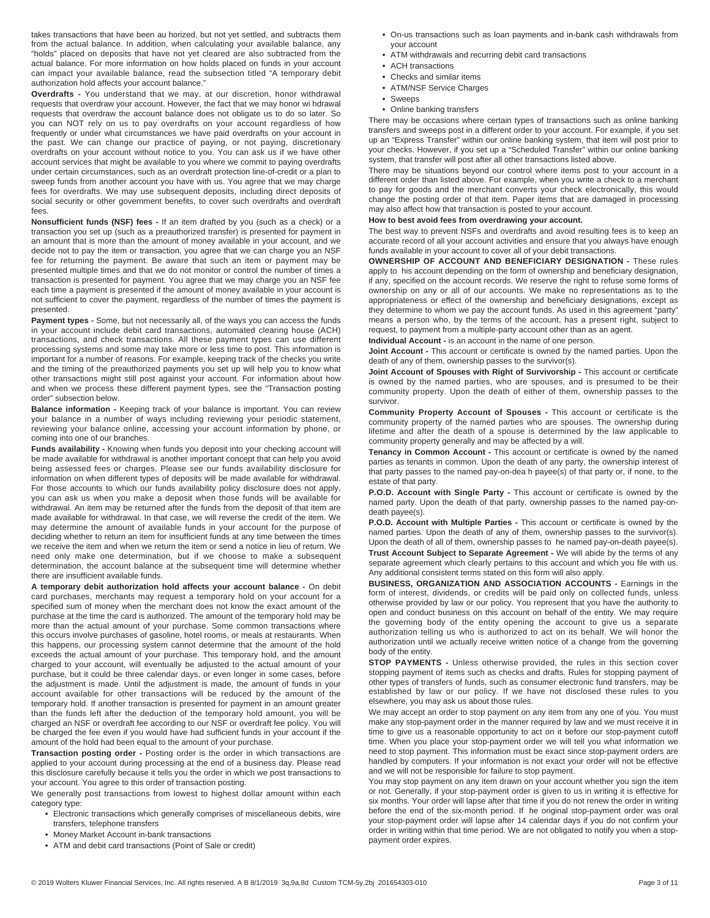takes transactions that have been au horized, but not yet settled, and subtracts them from the actual balance. In addition, when calculating your available balance, any "holds" placed on deposits that have not yet cleared are also subtracted from the actual balance. For more information on how holds placed on funds in your account can impact your available balance, read the subsection titled "A temporary debit authorization hold affects your account balance."

**Overdrafts -** You understand that we may, at our discretion, honor withdrawal requests that overdraw your account. However, the fact that we may honor wi hdrawal requests that overdraw the account balance does not obligate us to do so later. So you can NOT rely on us to pay overdrafts on your account regardless of how frequently or under what circumstances we have paid overdrafts on your account in the past. We can change our practice of paying, or not paying, discretionary overdrafts on your account without notice to you. You can ask us if we have other account services that might be available to you where we commit to paying overdrafts under certain circumstances, such as an overdraft protection line-of-credit or a plan to sweep funds from another account you have with us. You agree that we may charge fees for overdrafts. We may use subsequent deposits, including direct deposits of social security or other government benefits, to cover such overdrafts and overdraft fees.

**Nonsufficient funds (NSF) fees -** If an item drafted by you (such as a check) or a transaction you set up (such as a preauthorized transfer) is presented for payment in an amount that is more than the amount of money available in your account, and we decide not to pay the item or transaction, you agree that we can charge you an NSF fee for returning the payment. Be aware that such an item or payment may be presented multiple times and that we do not monitor or control the number of times a transaction is presented for payment. You agree that we may charge you an NSF fee each time a payment is presented if the amount of money available in your account is not sufficient to cover the payment, regardless of the number of times the payment is presented.

Payment types - Some, but not necessarily all, of the ways you can access the funds in your account include debit card transactions, automated clearing house (ACH) transactions, and check transactions. All these payment types can use different processing systems and some may take more or less time to post. This information is important for a number of reasons. For example, keeping track of the checks you write and the timing of the preauthorized payments you set up will help you to know what other transactions might still post against your account. For information about how and when we process these different payment types, see the "Transaction posting order" subsection below.

**Balance information -** Keeping track of your balance is important. You can review your balance in a number of ways including reviewing your periodic statement, reviewing your balance online, accessing your account information by phone, or coming into one of our branches.

**Funds availability -** Knowing when funds you deposit into your checking account will be made available for withdrawal is another important concept that can help you avoid being assessed fees or charges. Please see our funds availability disclosure for information on when different types of deposits will be made available for withdrawal. For those accounts to which our funds availability policy disclosure does not apply, you can ask us when you make a deposit when those funds will be available for withdrawal. An item may be returned after the funds from the deposit of that item are made available for withdrawal. In that case, we will reverse the credit of the item. We may determine the amount of available funds in your account for the purpose of deciding whether to return an item for insufficient funds at any time between the times we receive the item and when we return the item or send a notice in lieu of return. We need only make one determination, but if we choose to make a subsequent determination, the account balance at the subsequent time will determine whether there are insufficient available funds.

**A temporary debit authorization hold affects your account balance -** On debit card purchases, merchants may request a temporary hold on your account for a specified sum of money when the merchant does not know the exact amount of the purchase at the time the card is authorized. The amount of the temporary hold may be more than the actual amount of your purchase. Some common transactions where this occurs involve purchases of gasoline, hotel rooms, or meals at restaurants. When this happens, our processing system cannot determine that the amount of the hold exceeds the actual amount of your purchase. This temporary hold, and the amount charged to your account, will eventually be adjusted to the actual amount of your purchase, but it could be three calendar days, or even longer in some cases, before the adjustment is made. Until the adjustment is made, the amount of funds in your account available for other transactions will be reduced by the amount of the temporary hold. If another transaction is presented for payment in an amount greater than the funds left after the deduction of the temporary hold amount, you will be charged an NSF or overdraft fee according to our NSF or overdraft fee policy. You will be charged the fee even if you would have had sufficient funds in your account if the amount of the hold had been equal to the amount of your purchase.

**Transaction posting order -** Posting order is the order in which transactions are applied to your account during processing at the end of a business day. Please read this disclosure carefully because it tells you the order in which we post transactions to your account. You agree to this order of transaction posting.

We generally post transactions from lowest to highest dollar amount within each category type:

- **•** Electronic transactions which generally comprises of miscellaneous debits, wire transfers, telephone transfers
- **•** Money Market Account in-bank transactions
- **•** ATM and debit card transactions (Point of Sale or credit)
- **•** On-us transactions such as loan payments and in-bank cash withdrawals from your account
- **•** ATM withdrawals and recurring debit card transactions
- **•** ACH transactions
- **•** Checks and similar items
- **•** ATM/NSF Service Charges
- **•** Sweeps
- **•** Online banking transfers

There may be occasions where certain types of transactions such as online banking transfers and sweeps post in a different order to your account. For example, if you set up an "Express Transfer" within our online banking system, that item will post prior to your checks. However, if you set up a "Scheduled Transfer" within our online banking system, that transfer will post after all other transactions listed above.

There may be situations beyond our control where items post to your account in a different order than listed above. For example, when you write a check to a merchant to pay for goods and the merchant converts your check electronically, this would change the posting order of that item. Paper items that are damaged in processing may also affect how that transaction is posted to your account.

### **How to best avoid fees from overdrawing your account.**

The best way to prevent NSFs and overdrafts and avoid resulting fees is to keep an accurate record of all your account activities and ensure that you always have enough funds available in your account to cover all of your debit transactions.

**OWNERSHIP OF ACCOUNT AND BENEFICIARY DESIGNATION -** These rules apply to his account depending on the form of ownership and beneficiary designation, if any, specified on the account records. We reserve the right to refuse some forms of ownership on any or all of our accounts. We make no representations as to the appropriateness or effect of the ownership and beneficiary designations, except as they determine to whom we pay the account funds. As used in this agreement "party" means a person who, by the terms of the account, has a present right, subject to request, to payment from a multiple-party account other than as an agent.

**Individual Account -** is an account in the name of one person.

**Joint Account -** This account or certificate is owned by the named parties. Upon the death of any of them, ownership passes to the survivor(s).

**Joint Account of Spouses with Right of Survivorship -** This account or certificate is owned by the named parties, who are spouses, and is presumed to be their community property. Upon the death of either of them, ownership passes to the survivor.

**Community Property Account of Spouses -** This account or certificate is the community property of the named parties who are spouses. The ownership during lifetime and after the death of a spouse is determined by the law applicable to community property generally and may be affected by a will.

**Tenancy in Common Account -** This account or certificate is owned by the named parties as tenants in common. Upon the death of any party, the ownership interest of that party passes to the named pay-on-dea h payee(s) of that party or, if none, to the estate of that party.

**P.O.D. Account with Single Party -** This account or certificate is owned by the named party. Upon the death of that party, ownership passes to the named pay-ondeath payee(s).

**P.O.D. Account with Multiple Parties -** This account or certificate is owned by the named parties. Upon the death of any of them, ownership passes to the survivor(s). Upon the death of all of them, ownership passes to he named pay-on-death payee(s). **Trust Account Subject to Separate Agreement -** We will abide by the terms of any separate agreement which clearly pertains to this account and which you file with us. Any additional consistent terms stated on this form will also apply.

**BUSINESS, ORGANIZATION AND ASSOCIATION ACCOUNTS - Earnings in the** form of interest, dividends, or credits will be paid only on collected funds, unless otherwise provided by law or our policy. You represent that you have the authority to open and conduct business on this account on behalf of the entity. We may require the governing body of the entity opening the account to give us a separate authorization telling us who is authorized to act on its behalf. We will honor the authorization until we actually receive written notice of a change from the governing body of the entity.

**STOP PAYMENTS -** Unless otherwise provided, the rules in this section cover stopping payment of items such as checks and drafts. Rules for stopping payment of other types of transfers of funds, such as consumer electronic fund transfers, may be established by law or our policy. If we have not disclosed these rules to you elsewhere, you may ask us about those rules.

We may accept an order to stop payment on any item from any one of you. You must make any stop-payment order in the manner required by law and we must receive it in time to give us a reasonable opportunity to act on it before our stop-payment cutoff time. When you place your stop-payment order we will tell you what information we need to stop payment. This information must be exact since stop-payment orders are handled by computers. If your information is not exact your order will not be effective and we will not be responsible for failure to stop payment.

You may stop payment on any item drawn on your account whether you sign the item or not. Generally, if your stop-payment order is given to us in writing it is effective for six months. Your order will lapse after that time if you do not renew the order in writing before the end of the six-month period. If he original stop-payment order was oral your stop-payment order will lapse after 14 calendar days if you do not confirm your order in writing within that time period. We are not obligated to notify you when a stoppayment order expires.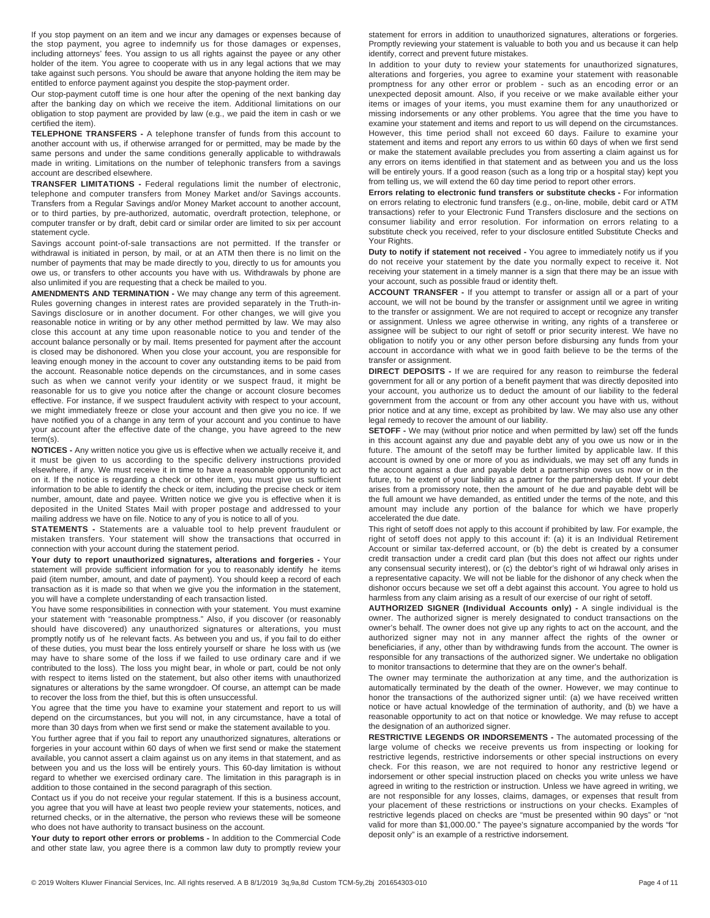If you stop payment on an item and we incur any damages or expenses because of the stop payment, you agree to indemnify us for those damages or expenses, including attorneys' fees. You assign to us all rights against the payee or any other holder of the item. You agree to cooperate with us in any legal actions that we may take against such persons. You should be aware that anyone holding the item may be entitled to enforce payment against you despite the stop-payment order.

Our stop-payment cutoff time is one hour after the opening of the next banking day after the banking day on which we receive the item. Additional limitations on our obligation to stop payment are provided by law (e.g., we paid the item in cash or we certified the item).

**TELEPHONE TRANSFERS -** A telephone transfer of funds from this account to another account with us, if otherwise arranged for or permitted, may be made by the same persons and under the same conditions generally applicable to withdrawals made in writing. Limitations on the number of telephonic transfers from a savings account are described elsewhere.

**TRANSFER LIMITATIONS -** Federal regulations limit the number of electronic, telephone and computer transfers from Money Market and/or Savings accounts. Transfers from a Regular Savings and/or Money Market account to another account, or to third parties, by pre-authorized, automatic, overdraft protection, telephone, or computer transfer or by draft, debit card or similar order are limited to six per account statement cycle.

Savings account point-of-sale transactions are not permitted. If the transfer or withdrawal is initiated in person, by mail, or at an ATM then there is no limit on the number of payments that may be made directly to you, directly to us for amounts you owe us, or transfers to other accounts you have with us. Withdrawals by phone are also unlimited if you are requesting that a check be mailed to you.

**AMENDMENTS AND TERMINATION -** We may change any term of this agreement. Rules governing changes in interest rates are provided separately in the Truth-in-Savings disclosure or in another document. For other changes, we will give you reasonable notice in writing or by any other method permitted by law. We may also close this account at any time upon reasonable notice to you and tender of the account balance personally or by mail. Items presented for payment after the account is closed may be dishonored. When you close your account, you are responsible for leaving enough money in the account to cover any outstanding items to be paid from the account. Reasonable notice depends on the circumstances, and in some cases such as when we cannot verify your identity or we suspect fraud, it might be reasonable for us to give you notice after the change or account closure becomes effective. For instance, if we suspect fraudulent activity with respect to your account, we might immediately freeze or close your account and then give you no ice. If we have notified you of a change in any term of your account and you continue to have your account after the effective date of the change, you have agreed to the new term(s).

**NOTICES -** Any written notice you give us is effective when we actually receive it, and it must be given to us according to the specific delivery instructions provided elsewhere, if any. We must receive it in time to have a reasonable opportunity to act on it. If the notice is regarding a check or other item, you must give us sufficient information to be able to identify the check or item, including the precise check or item number, amount, date and payee. Written notice we give you is effective when it is deposited in the United States Mail with proper postage and addressed to your mailing address we have on file. Notice to any of you is notice to all of you.

**STATEMENTS -** Statements are a valuable tool to help prevent fraudulent or mistaken transfers. Your statement will show the transactions that occurred in connection with your account during the statement period.

**Your duty to report unauthorized signatures, alterations and forgeries -** Your statement will provide sufficient information for you to reasonably identify he items paid (item number, amount, and date of payment). You should keep a record of each transaction as it is made so that when we give you the information in the statement, you will have a complete understanding of each transaction listed.

You have some responsibilities in connection with your statement. You must examine your statement with "reasonable promptness." Also, if you discover (or reasonably should have discovered) any unauthorized signatures or alterations, you must promptly notify us of he relevant facts. As between you and us, if you fail to do either of these duties, you must bear the loss entirely yourself or share he loss with us (we may have to share some of the loss if we failed to use ordinary care and if we contributed to the loss). The loss you might bear, in whole or part, could be not only with respect to items listed on the statement, but also other items with unauthorized signatures or alterations by the same wrongdoer. Of course, an attempt can be made to recover the loss from the thief, but this is often unsuccessful.

You agree that the time you have to examine your statement and report to us will depend on the circumstances, but you will not, in any circumstance, have a total of more than 30 days from when we first send or make the statement available to you.

You further agree that if you fail to report any unauthorized signatures, alterations or forgeries in your account within 60 days of when we first send or make the statement available, you cannot assert a claim against us on any items in that statement, and as between you and us the loss will be entirely yours. This 60-day limitation is without regard to whether we exercised ordinary care. The limitation in this paragraph is in addition to those contained in the second paragraph of this section.

Contact us if you do not receive your regular statement. If this is a business account, you agree that you will have at least two people review your statements, notices, and returned checks, or in the alternative, the person who reviews these will be someone who does not have authority to transact business on the account.

**Your duty to report other errors or problems -** In addition to the Commercial Code and other state law, you agree there is a common law duty to promptly review your

statement for errors in addition to unauthorized signatures, alterations or forgeries. Promptly reviewing your statement is valuable to both you and us because it can help identify, correct and prevent future mistakes.

In addition to your duty to review your statements for unauthorized signatures, alterations and forgeries, you agree to examine your statement with reasonable promptness for any other error or problem - such as an encoding error or an unexpected deposit amount. Also, if you receive or we make available either your items or images of your items, you must examine them for any unauthorized or missing indorsements or any other problems. You agree that the time you have to examine your statement and items and report to us will depend on the circumstances. However, this time period shall not exceed 60 days. Failure to examine your statement and items and report any errors to us within 60 days of when we first send or make the statement available precludes you from asserting a claim against us for any errors on items identified in that statement and as between you and us the loss will be entirely yours. If a good reason (such as a long trip or a hospital stay) kept you from telling us, we will extend the 60 day time period to report other errors.

**Errors relating to electronic fund transfers or substitute checks -** For information on errors relating to electronic fund transfers (e.g., on-line, mobile, debit card or ATM transactions) refer to your Electronic Fund Transfers disclosure and the sections on consumer liability and error resolution. For information on errors relating to a substitute check you received, refer to your disclosure entitled Substitute Checks and Your Rights.

**Duty to notify if statement not received -** You agree to immediately notify us if you do not receive your statement by the date you normally expect to receive it. Not receiving your statement in a timely manner is a sign that there may be an issue with your account, such as possible fraud or identity theft.

**ACCOUNT TRANSFER -** If you attempt to transfer or assign all or a part of your account, we will not be bound by the transfer or assignment until we agree in writing to the transfer or assignment. We are not required to accept or recognize any transfer or assignment. Unless we agree otherwise in writing, any rights of a transferee or assignee will be subject to our right of setoff or prior security interest. We have no obligation to notify you or any other person before disbursing any funds from your account in accordance with what we in good faith believe to be the terms of the transfer or assignment.

**DIRECT DEPOSITS -** If we are required for any reason to reimburse the federal government for all or any portion of a benefit payment that was directly deposited into your account, you authorize us to deduct the amount of our liability to the federal government from the account or from any other account you have with us, without prior notice and at any time, except as prohibited by law. We may also use any other legal remedy to recover the amount of our liability.

**SETOFF -** We may (without prior notice and when permitted by law) set off the funds in this account against any due and payable debt any of you owe us now or in the future. The amount of the setoff may be further limited by applicable law. If this account is owned by one or more of you as individuals, we may set off any funds in the account against a due and payable debt a partnership owes us now or in the future, to he extent of your liability as a partner for the partnership debt. If your debt arises from a promissory note, then the amount of he due and payable debt will be the full amount we have demanded, as entitled under the terms of the note, and this amount may include any portion of the balance for which we have properly accelerated the due date.

This right of setoff does not apply to this account if prohibited by law. For example, the right of setoff does not apply to this account if: (a) it is an Individual Retirement Account or similar tax-deferred account, or (b) the debt is created by a consumer credit transaction under a credit card plan (but this does not affect our rights under any consensual security interest), or (c) the debtor's right of wi hdrawal only arises in a representative capacity. We will not be liable for the dishonor of any check when the dishonor occurs because we set off a debt against this account. You agree to hold us harmless from any claim arising as a result of our exercise of our right of setoff.

**AUTHORIZED SIGNER (Individual Accounts only) -** A single individual is the owner. The authorized signer is merely designated to conduct transactions on the owner's behalf. The owner does not give up any rights to act on the account, and the authorized signer may not in any manner affect the rights of the owner or beneficiaries, if any, other than by withdrawing funds from the account. The owner is responsible for any transactions of the authorized signer. We undertake no obligation to monitor transactions to determine that they are on the owner's behalf.

The owner may terminate the authorization at any time, and the authorization is automatically terminated by the death of the owner. However, we may continue to honor the transactions of the authorized signer until: (a) we have received written notice or have actual knowledge of the termination of authority, and (b) we have a reasonable opportunity to act on that notice or knowledge. We may refuse to accept the designation of an authorized signer.

**RESTRICTIVE LEGENDS OR INDORSEMENTS -** The automated processing of the large volume of checks we receive prevents us from inspecting or looking for restrictive legends, restrictive indorsements or other special instructions on every check. For this reason, we are not required to honor any restrictive legend or indorsement or other special instruction placed on checks you write unless we have agreed in writing to the restriction or instruction. Unless we have agreed in writing, we are not responsible for any losses, claims, damages, or expenses that result from your placement of these restrictions or instructions on your checks. Examples of restrictive legends placed on checks are "must be presented within 90 days" or "not valid for more than \$1,000.00." The payee's signature accompanied by the words "for deposit only" is an example of a restrictive indorsement.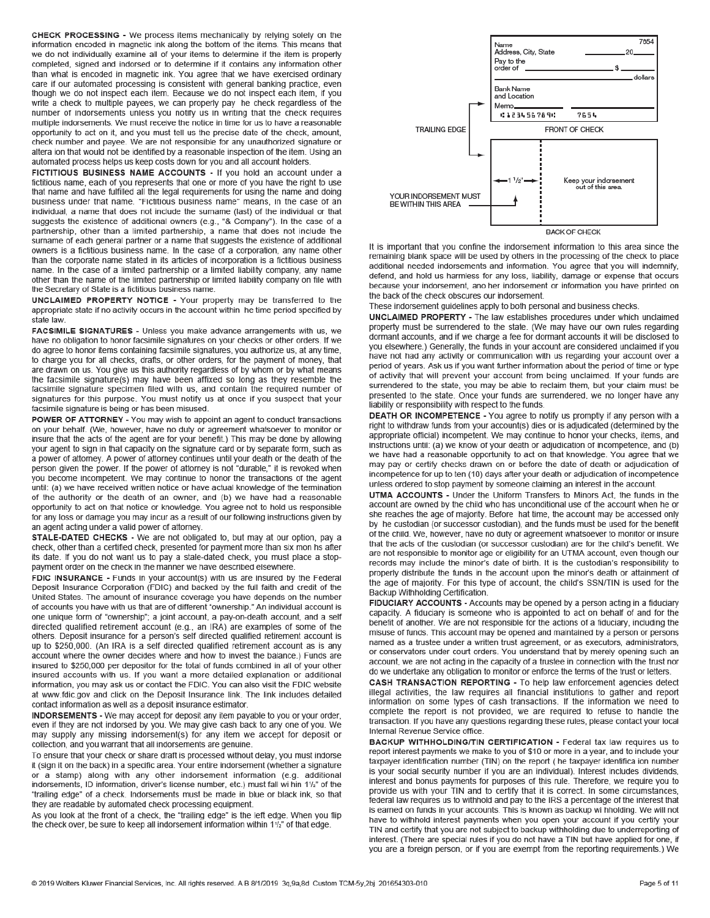CHECK PROCESSING - We process items mechanically by relying solely on the information encoded in magnetic ink along the bottom of the items. This means that we do not individually examine all of your items to determine if the item is properly completed, signed and indorsed or to determine if it contains any information other than what is encoded in magnetic ink. You agree that we have exercised ordinary care if our automated processing is consistent with general banking practice, even though we do not inspect each item. Because we do not inspect each item, if you write a check to multiple payees, we can properly pay he check regardless of the number of indorsements unless you notify us in writing that the check requires multiple indorsements. We must receive the notice in time for us to have a reasonable opportunity to act on it, and you must tell us the precise date of the check, amount, check number and payee. We are not responsible for any unauthorized signature or altera ion that would not be identified by a reasonable inspection of the item. Using an automated process helps us keep costs down for you and all account holders.

FICTITIOUS BUSINESS NAME ACCOUNTS - If you hold an account under a fictitious name, each of you represents that one or more of you have the right to use that name and have fulfilled all the legal requirements for using the name and doing business under that name. "Fictitious business name" means, in the case of an individual, a name that does not include the surname (last) of the individual or that suggests the existence of additional owners (e.g., "& Company"). In the case of a partnership, other than a limited partnership, a name that does not include the surname of each general partner or a name that suggests the existence of additional owners is a fictitious business name. In the case of a corporation, any name other than the corporate name stated in its articles of incorporation is a fictitious business name. In the case of a limited partnership or a limited liability company, any name other than the name of the limited partnership or limited liability company on file with the Secretary of State is a fictitious business name.

UNCLAIMED PROPERTY NOTICE - Your property may be transferred to the appropriate state if no activity occurs in the account within he time period specified by state law

FACSIMILE SIGNATURES - Unless you make advance arrangements with us, we have no obligation to honor facsimile signatures on your checks or other orders. If we do agree to honor items containing facsimile signatures, you authorize us, at any time, to charge you for all checks, drafts, or other orders, for the payment of money, that are drawn on us. You give us this authority regardless of by whom or by what means the facsimile signature(s) may have been affixed so long as they resemble the facsimile signature specimen filed with us, and contain the required number of signatures for this purpose. You must notify us at once if you suspect that your facsimile signature is being or has been misused.

POWER OF ATTORNEY - You may wish to appoint an agent to conduct transactions on your behalf. (We, however, have no duty or agreement whatsoever to monitor or insure that the acts of the agent are for your benefit.) This may be done by allowing your agent to sign in that capacity on the signature card or by separate form, such as a power of attorney. A power of attorney continues until your death or the death of the person given the power. If the power of attorney is not "durable," it is revoked when you become incompetent. We may continue to honor the transactions of the agent until: (a) we have received written notice or have actual knowledge of the termination of the authority or the death of an owner, and (b) we have had a reasonable opportunity to act on that notice or knowledge. You agree not to hold us responsible for any loss or damage you may incur as a result of our following instructions given by an agent acting under a valid power of attorney.

STALE-DATED CHECKS - We are not obligated to, but may at our option, pay a check, other than a certified check, presented for payment more than six mon hs after its date. If you do not want us to pay a stale-dated check, you must place a stoppayment order on the check in the manner we have described elsewhere.

FDIC INSURANCE - Funds in your account(s) with us are insured by the Federal Deposit Insurance Corporation (FDIC) and backed by the full faith and credit of the United States. The amount of insurance coverage you have depends on the number of accounts you have with us that are of different "ownership." An individual account is one unique form of "ownership"; a joint account, a pay-on-death account, and a self directed qualified retirement account (e.g., an IRA) are examples of some of the others. Deposit insurance for a person's self directed qualified retirement account is up to \$250,000. (An IRA is a self directed qualified retirement account as is any account where the owner decides where and how to invest the balance.) Funds are insured to \$250,000 per depositor for the total of funds combined in all of your other insured accounts with us. If you want a more detailed explanation or additional information, you may ask us or contact the FDIC. You can also visit the FDIC website at www.fdic.gov and click on the Deposit Insurance link. The link includes detailed contact information as well as a deposit insurance estimator.

INDORSEMENTS - We may accept for deposit any item payable to you or your order, even if they are not indorsed by you. We may give cash back to any one of you. We may supply any missing indorsement(s) for any item we accept for deposit or collection, and you warrant that all indorsements are genuine.

To ensure that your check or share draft is processed without delay, you must indorse it (sign it on the back) in a specific area. Your entire indorsement (whether a signature or a stamp) along with any other indorsement information (e.g. additional indorsements, ID information, driver's license number, etc.) must fall wi hin 11/2" of the "trailing edge" of a check. Indorsements must be made in blue or black ink, so that they are readable by automated check processing equipment.

As you look at the front of a check, the "trailing edge" is the left edge. When you flip the check over, be sure to keep all indorsement information within 11/2" of that edge.



It is important that you confine the indorsement information to this area since the remaining blank space will be used by others in the processing of the check to place additional needed indorsements and information. You agree that you will indemnify, defend, and hold us harmless for any loss, liability, damage or expense that occurs because your indorsement, ano her indorsement or information you have printed on the back of the check obscures our indorsement.

These indorsement guidelines apply to both personal and business checks.

UNCLAIMED PROPERTY - The law establishes procedures under which unclaimed property must be surrendered to the state. (We may have our own rules regarding dormant accounts, and if we charge a fee for dormant accounts it will be disclosed to you elsewhere.) Generally, the funds in your account are considered unclaimed if you have not had any activity or communication with us regarding your account over a period of years. Ask us if you want further information about the period of time or type of activity that will prevent your account from being unclaimed. If your funds are surrendered to the state, you may be able to reclaim them, but your claim must be presented to the state. Once your funds are surrendered, we no longer have any liability or responsibility with respect to the funds.

DEATH OR INCOMPETENCE - You agree to notify us promptly if any person with a right to withdraw funds from your account(s) dies or is adjudicated (determined by the appropriate official) incompetent. We may continue to honor your checks, items, and instructions until: (a) we know of your death or adjudication of incompetence, and (b) we have had a reasonable opportunity to act on that knowledge. You agree that we may pay or certify checks drawn on or before the date of death or adjudication of incompetence for up to ten (10) days after your death or adjudication of incompetence unless ordered to stop payment by someone claiming an interest in the account.

**UTMA ACCOUNTS - Under the Uniform Transfers to Minors Act. the funds in the** account are owned by the child who has unconditional use of the account when he or she reaches the age of majority. Before hat time, the account may be accessed only by he custodian (or successor custodian), and the funds must be used for the benefit of the child. We, however, have no duty or agreement whatsoever to monitor or insure that the acts of the custodian (or successor custodian) are for the child's benefit. We are not responsible to monitor age or eligibility for an UTMA account, even though our records may include the minor's date of birth. It is the custodian's responsibility to properly distribute the funds in the account upon the minor's death or attainment of the age of majority. For this type of account, the child's SSN/TIN is used for the Backup Withholding Certification.

FIDUCIARY ACCOUNTS - Accounts may be opened by a person acting in a fiduciary capacity. A fiduciary is someone who is appointed to act on behalf of and for the benefit of another. We are not responsible for the actions of a fiduciary, including the misuse of funds. This account may be opened and maintained by a person or persons named as a trustee under a written trust agreement, or as executors, administrators, or conservators under court orders. You understand that by merely opening such an account, we are not acting in the capacity of a trustee in connection with the trust nor do we undertake any obligation to monitor or enforce the terms of the trust or letters.

CASH TRANSACTION REPORTING - To help law enforcement agencies detect illegal activities, the law requires all financial institutions to gather and report information on some types of cash transactions. If the information we need to complete the report is not provided, we are required to refuse to handle the transaction. If you have any questions regarding these rules, please contact your local Internal Revenue Service office.

BACKUP WITHHOLDING/TIN CERTIFICATION - Federal tax law requires us to report interest payments we make to you of \$10 or more in a year, and to include your taxpayer identification number (TIN) on the report ( he taxpayer identifica ion number is your social security number if you are an individual). Interest includes dividends, interest and bonus payments for purposes of this rule. Therefore, we require you to provide us with your TIN and to certify that it is correct. In some circumstances, federal law requires us to withhold and pay to the IRS a percentage of the interest that is earned on funds in your accounts. This is known as backup wi hholding. We will not have to withhold interest payments when you open your account if you certify your TIN and certify that you are not subject to backup withholding due to underreporting of interest. (There are special rules if you do not have a TIN but have applied for one, if you are a foreign person, or if you are exempt from the reporting requirements.) We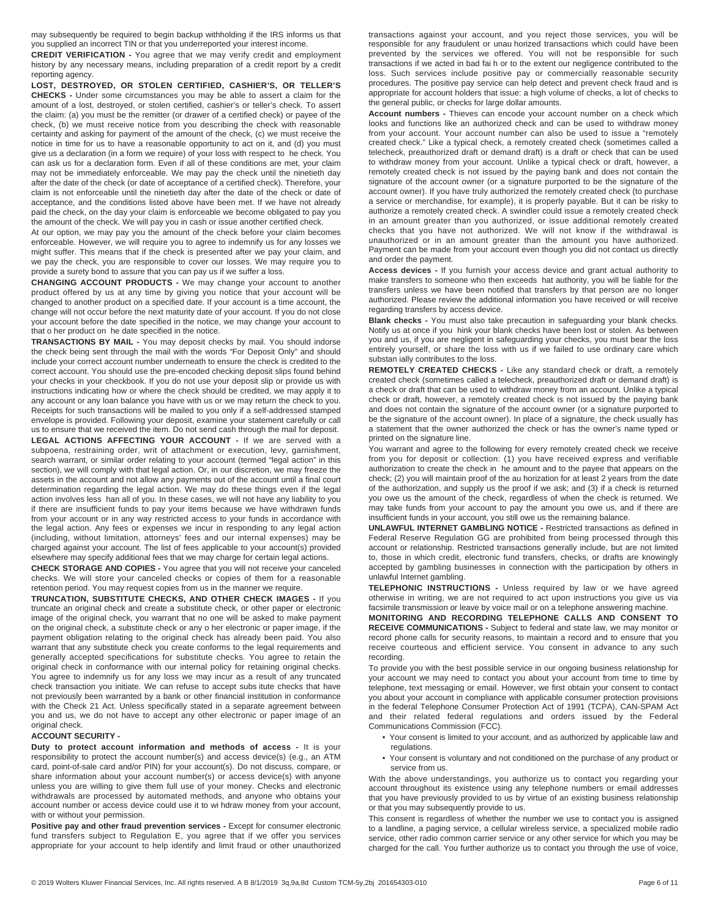may subsequently be required to begin backup withholding if the IRS informs us that you supplied an incorrect TIN or that you underreported your interest income.

**CREDIT VERIFICATION -** You agree that we may verify credit and employment history by any necessary means, including preparation of a credit report by a credit reporting agency.

**LOST, DESTROYED, OR STOLEN CERTIFIED, CASHIER'S, OR TELLER'S CHECKS -** Under some circumstances you may be able to assert a claim for the amount of a lost, destroyed, or stolen certified, cashier's or teller's check. To assert the claim: (a) you must be the remitter (or drawer of a certified check) or payee of the check, (b) we must receive notice from you describing the check with reasonable certainty and asking for payment of the amount of the check, (c) we must receive the notice in time for us to have a reasonable opportunity to act on it, and (d) you must give us a declaration (in a form we require) of your loss with respect to he check. You can ask us for a declaration form. Even if all of these conditions are met, your claim may not be immediately enforceable. We may pay the check until the ninetieth day after the date of the check (or date of acceptance of a certified check). Therefore, your claim is not enforceable until the ninetieth day after the date of the check or date of acceptance, and the conditions listed above have been met. If we have not already paid the check, on the day your claim is enforceable we become obligated to pay you the amount of the check. We will pay you in cash or issue another certified check.

At our option, we may pay you the amount of the check before your claim becomes enforceable. However, we will require you to agree to indemnify us for any losses we might suffer. This means that if the check is presented after we pay your claim, and we pay the check, you are responsible to cover our losses. We may require you to provide a surety bond to assure that you can pay us if we suffer a loss.

**CHANGING ACCOUNT PRODUCTS -** We may change your account to another product offered by us at any time by giving you notice that your account will be changed to another product on a specified date. If your account is a time account, the change will not occur before the next maturity date of your account. If you do not close your account before the date specified in the notice, we may change your account to that o her product on he date specified in the notice.

**TRANSACTIONS BY MAIL -** You may deposit checks by mail. You should indorse the check being sent through the mail with the words "For Deposit Only" and should include your correct account number underneath to ensure the check is credited to the correct account. You should use the pre-encoded checking deposit slips found behind your checks in your checkbook. If you do not use your deposit slip or provide us with instructions indicating how or where the check should be credited, we may apply it to any account or any loan balance you have with us or we may return the check to you. Receipts for such transactions will be mailed to you only if a self-addressed stamped envelope is provided. Following your deposit, examine your statement carefully or call us to ensure that we received the item. Do not send cash through the mail for deposit.

**LEGAL ACTIONS AFFECTING YOUR ACCOUNT -** If we are served with a subpoena, restraining order, writ of attachment or execution, levy, garnishment, search warrant, or similar order relating to your account (termed "legal action" in this section), we will comply with that legal action. Or, in our discretion, we may freeze the assets in the account and not allow any payments out of the account until a final court determination regarding the legal action. We may do these things even if the legal action involves less han all of you. In these cases, we will not have any liability to you if there are insufficient funds to pay your items because we have withdrawn funds from your account or in any way restricted access to your funds in accordance with the legal action. Any fees or expenses we incur in responding to any legal action (including, without limitation, attorneys' fees and our internal expenses) may be charged against your account. The list of fees applicable to your account(s) provided elsewhere may specify additional fees that we may charge for certain legal actions.

**CHECK STORAGE AND COPIES -** You agree that you will not receive your canceled checks. We will store your canceled checks or copies of them for a reasonable retention period. You may request copies from us in the manner we require.

**TRUNCATION, SUBSTITUTE CHECKS, AND OTHER CHECK IMAGES -** If you truncate an original check and create a substitute check, or other paper or electronic image of the original check, you warrant that no one will be asked to make payment on the original check, a substitute check or any o her electronic or paper image, if the payment obligation relating to the original check has already been paid. You also warrant that any substitute check you create conforms to the legal requirements and generally accepted specifications for substitute checks. You agree to retain the original check in conformance with our internal policy for retaining original checks. You agree to indemnify us for any loss we may incur as a result of any truncated check transaction you initiate. We can refuse to accept subs itute checks that have not previously been warranted by a bank or other financial institution in conformance with the Check 21 Act. Unless specifically stated in a separate agreement between you and us, we do not have to accept any other electronic or paper image of an original check.

#### **ACCOUNT SECURITY -**

**Duty to protect account information and methods of access -** It is your responsibility to protect the account number(s) and access device(s) (e.g., an ATM card, point-of-sale card and/or PIN) for your account(s). Do not discuss, compare, or share information about your account number(s) or access device(s) with anyone unless you are willing to give them full use of your money. Checks and electronic withdrawals are processed by automated methods, and anyone who obtains your account number or access device could use it to wi hdraw money from your account, with or without your permission.

**Positive pay and other fraud prevention services - Except for consumer electronic** fund transfers subject to Regulation E, you agree that if we offer you services appropriate for your account to help identify and limit fraud or other unauthorized

transactions against your account, and you reject those services, you will be responsible for any fraudulent or unau horized transactions which could have been prevented by the services we offered. You will not be responsible for such transactions if we acted in bad fai h or to the extent our negligence contributed to the loss. Such services include positive pay or commercially reasonable security procedures. The positive pay service can help detect and prevent check fraud and is appropriate for account holders that issue: a high volume of checks, a lot of checks to the general public, or checks for large dollar amounts.

**Account numbers -** Thieves can encode your account number on a check which looks and functions like an authorized check and can be used to withdraw money from your account. Your account number can also be used to issue a "remotely created check." Like a typical check, a remotely created check (sometimes called a telecheck, preauthorized draft or demand draft) is a draft or check that can be used to withdraw money from your account. Unlike a typical check or draft, however, a remotely created check is not issued by the paying bank and does not contain the signature of the account owner (or a signature purported to be the signature of the account owner). If you have truly authorized the remotely created check (to purchase a service or merchandise, for example), it is properly payable. But it can be risky to authorize a remotely created check. A swindler could issue a remotely created check in an amount greater than you authorized, or issue additional remotely created checks that you have not authorized. We will not know if the withdrawal is unauthorized or in an amount greater than the amount you have authorized. Payment can be made from your account even though you did not contact us directly and order the payment.

**Access devices -** If you furnish your access device and grant actual authority to make transfers to someone who then exceeds hat authority, you will be liable for the transfers unless we have been notified that transfers by that person are no longer authorized. Please review the additional information you have received or will receive regarding transfers by access device.

**Blank checks -** You must also take precaution in safeguarding your blank checks. Notify us at once if you hink your blank checks have been lost or stolen. As between you and us, if you are negligent in safeguarding your checks, you must bear the loss entirely yourself, or share the loss with us if we failed to use ordinary care which substan ially contributes to the loss.

**REMOTELY CREATED CHECKS -** Like any standard check or draft, a remotely created check (sometimes called a telecheck, preauthorized draft or demand draft) is a check or draft that can be used to withdraw money from an account. Unlike a typical check or draft, however, a remotely created check is not issued by the paying bank and does not contain the signature of the account owner (or a signature purported to be the signature of the account owner). In place of a signature, the check usually has a statement that the owner authorized the check or has the owner's name typed or printed on the signature line.

You warrant and agree to the following for every remotely created check we receive from you for deposit or collection: (1) you have received express and verifiable authorization to create the check in he amount and to the payee that appears on the check; (2) you will maintain proof of the au horization for at least 2 years from the date of the authorization, and supply us the proof if we ask; and (3) if a check is returned you owe us the amount of the check, regardless of when the check is returned. We may take funds from your account to pay the amount you owe us, and if there are insufficient funds in your account, you still owe us the remaining balance.

**UNLAWFUL INTERNET GAMBLING NOTICE -** Restricted transactions as defined in Federal Reserve Regulation GG are prohibited from being processed through this account or relationship. Restricted transactions generally include, but are not limited to, those in which credit, electronic fund transfers, checks, or drafts are knowingly accepted by gambling businesses in connection with the participation by others in unlawful Internet gambling.

**TELEPHONIC INSTRUCTIONS -** Unless required by law or we have agreed otherwise in writing, we are not required to act upon instructions you give us via facsimile transmission or leave by voice mail or on a telephone answering machine.

**MONITORING AND RECORDING TELEPHONE CALLS AND CONSENT TO RECEIVE COMMUNICATIONS -** Subject to federal and state law, we may monitor or record phone calls for security reasons, to maintain a record and to ensure that you receive courteous and efficient service. You consent in advance to any such recording.

To provide you with the best possible service in our ongoing business relationship for your account we may need to contact you about your account from time to time by telephone, text messaging or email. However, we first obtain your consent to contact you about your account in compliance with applicable consumer protection provisions in the federal Telephone Consumer Protection Act of 1991 (TCPA), CAN-SPAM Act and their related federal regulations and orders issued by the Federal Communications Commission (FCC).

- Your consent is limited to your account, and as authorized by applicable law and regulations.
- Your consent is voluntary and not conditioned on the purchase of any product or service from us.

With the above understandings, you authorize us to contact you regarding your account throughout its existence using any telephone numbers or email addresses that you have previously provided to us by virtue of an existing business relationship or that you may subsequently provide to us.

This consent is regardless of whether the number we use to contact you is assigned to a landline, a paging service, a cellular wireless service, a specialized mobile radio service, other radio common carrier service or any other service for which you may be charged for the call. You further authorize us to contact you through the use of voice,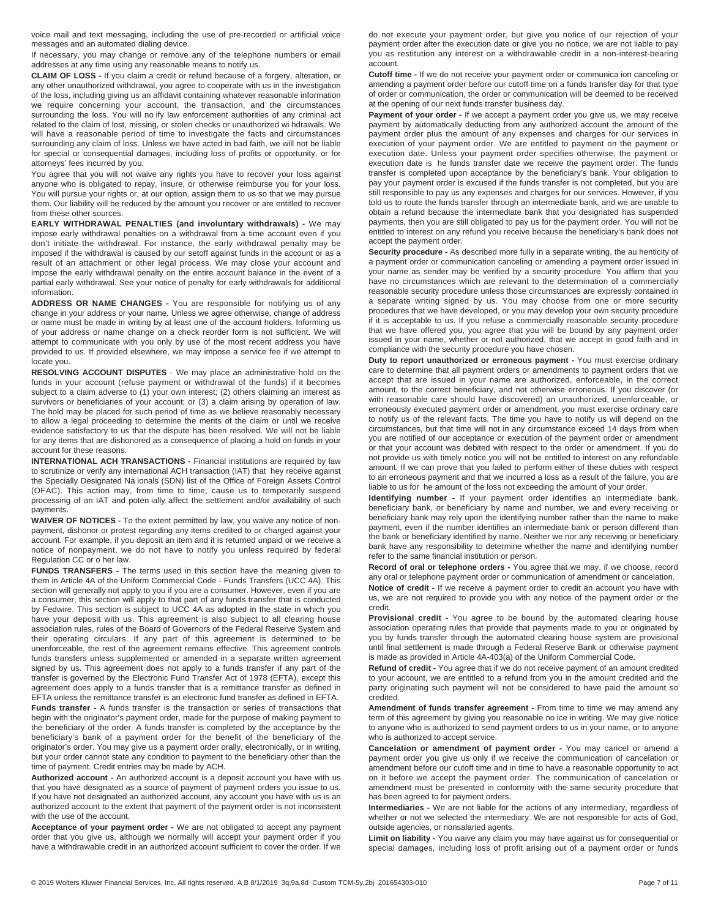voice mail and text messaging, including the use of pre-recorded or artificial voice messages and an automated dialing device.

If necessary, you may change or remove any of the telephone numbers or email addresses at any time using any reasonable means to notify us.

**CLAIM OF LOSS -** If you claim a credit or refund because of a forgery, alteration, or any other unauthorized withdrawal, you agree to cooperate with us in the investigation of the loss, including giving us an affidavit containing whatever reasonable information we require concerning your account, the transaction, and the circumstances surrounding the loss. You will no ify law enforcement authorities of any criminal act related to the claim of lost, missing, or stolen checks or unauthorized wi hdrawals. We will have a reasonable period of time to investigate the facts and circumstances surrounding any claim of loss. Unless we have acted in bad faith, we will not be liable for special or consequential damages, including loss of profits or opportunity, or for attorneys' fees incurred by you.

You agree that you will not waive any rights you have to recover your loss against anyone who is obligated to repay, insure, or otherwise reimburse you for your loss. You will pursue your rights or, at our option, assign them to us so that we may pursue them. Our liability will be reduced by the amount you recover or are entitled to recover from these other sources.

**EARLY WITHDRAWAL PENALTIES (and involuntary withdrawals) -** We may impose early withdrawal penalties on a withdrawal from a time account even if you don't initiate the withdrawal. For instance, the early withdrawal penalty may be imposed if the withdrawal is caused by our setoff against funds in the account or as a result of an attachment or other legal process. We may close your account and impose the early withdrawal penalty on the entire account balance in the event of a partial early withdrawal. See your notice of penalty for early withdrawals for additional information.

**ADDRESS OR NAME CHANGES -** You are responsible for notifying us of any change in your address or your name. Unless we agree otherwise, change of address or name must be made in writing by at least one of the account holders. Informing us of your address or name change on a check reorder form is not sufficient. We will attempt to communicate with you only by use of the most recent address you have provided to us. If provided elsewhere, we may impose a service fee if we attempt to locate you.

**RESOLVING ACCOUNT DISPUTES** - We may place an administrative hold on the funds in your account (refuse payment or withdrawal of the funds) if it becomes subject to a claim adverse to (1) your own interest; (2) others claiming an interest as survivors or beneficiaries of your account; or (3) a claim arising by operation of law. The hold may be placed for such period of time as we believe reasonably necessary to allow a legal proceeding to determine the merits of the claim or until we receive evidence satisfactory to us that the dispute has been resolved. We will not be liable for any items that are dishonored as a consequence of placing a hold on funds in your account for these reasons.

**INTERNATIONAL ACH TRANSACTIONS -** Financial institutions are required by law to scrutinize or verify any international ACH transaction (IAT) that hey receive against the Specially Designated Na ionals (SDN) list of the Office of Foreign Assets Control (OFAC). This action may, from time to time, cause us to temporarily suspend processing of an IAT and poten ially affect the settlement and/or availability of such payments.

**WAIVER OF NOTICES -** To the extent permitted by law, you waive any notice of nonpayment, dishonor or protest regarding any items credited to or charged against your account. For example, if you deposit an item and it is returned unpaid or we receive a notice of nonpayment, we do not have to notify you unless required by federal Regulation CC or o her law.

**FUNDS TRANSFERS -** The terms used in this section have the meaning given to them in Article 4A of the Uniform Commercial Code - Funds Transfers (UCC 4A). This section will generally not apply to you if you are a consumer. However, even if you are a consumer, this section will apply to that part of any funds transfer that is conducted by Fedwire. This section is subject to UCC 4A as adopted in the state in which you have your deposit with us. This agreement is also subject to all clearing house association rules, rules of the Board of Governors of the Federal Reserve System and their operating circulars. If any part of this agreement is determined to be unenforceable, the rest of the agreement remains effective. This agreement controls funds transfers unless supplemented or amended in a separate written agreement signed by us. This agreement does not apply to a funds transfer if any part of the transfer is governed by the Electronic Fund Transfer Act of 1978 (EFTA), except this agreement does apply to a funds transfer that is a remittance transfer as defined in EFTA unless the remittance transfer is an electronic fund transfer as defined in EFTA.

**Funds transfer -** A funds transfer is the transaction or series of transactions that begin with the originator's payment order, made for the purpose of making payment to the beneficiary of the order. A funds transfer is completed by the acceptance by the beneficiary's bank of a payment order for the benefit of the beneficiary of the originator's order. You may give us a payment order orally, electronically, or in writing, but your order cannot state any condition to payment to the beneficiary other than the time of payment. Credit entries may be made by ACH.

**Authorized account -** An authorized account is a deposit account you have with us that you have designated as a source of payment of payment orders you issue to us. If you have not designated an authorized account, any account you have with us is an authorized account to the extent that payment of the payment order is not inconsistent with the use of the account.

**Acceptance of your payment order -** We are not obligated to accept any payment order that you give us, although we normally will accept your payment order if you have a withdrawable credit in an authorized account sufficient to cover the order. If we

do not execute your payment order, but give you notice of our rejection of your payment order after the execution date or give you no notice, we are not liable to pay you as restitution any interest on a withdrawable credit in a non-interest-bearing account.

**Cutoff time -** If we do not receive your payment order or communica ion canceling or amending a payment order before our cutoff time on a funds transfer day for that type of order or communication, the order or communication will be deemed to be received at the opening of our next funds transfer business day.

Payment of your order - If we accept a payment order you give us, we may receive payment by automatically deducting from any authorized account the amount of the payment order plus the amount of any expenses and charges for our services in execution of your payment order. We are entitled to payment on the payment or execution date. Unless your payment order specifies otherwise, the payment or execution date is he funds transfer date we receive the payment order. The funds transfer is completed upon acceptance by the beneficiary's bank. Your obligation to pay your payment order is excused if the funds transfer is not completed, but you are still responsible to pay us any expenses and charges for our services. However, if you told us to route the funds transfer through an intermediate bank, and we are unable to obtain a refund because the intermediate bank that you designated has suspended payments, then you are still obligated to pay us for the payment order. You will not be entitled to interest on any refund you receive because the beneficiary's bank does not accept the payment order.

**Security procedure -** As described more fully in a separate writing, the au henticity of a payment order or communication canceling or amending a payment order issued in your name as sender may be verified by a security procedure. You affirm that you have no circumstances which are relevant to the determination of a commercially reasonable security procedure unless those circumstances are expressly contained in a separate writing signed by us. You may choose from one or more security procedures that we have developed, or you may develop your own security procedure if it is acceptable to us. If you refuse a commercially reasonable security procedure that we have offered you, you agree that you will be bound by any payment order issued in your name, whether or not authorized, that we accept in good faith and in compliance with the security procedure you have chosen.

**Duty to report unauthorized or erroneous payment -** You must exercise ordinary care to determine that all payment orders or amendments to payment orders that we accept that are issued in your name are authorized, enforceable, in the correct amount, to the correct beneficiary, and not otherwise erroneous. If you discover (or with reasonable care should have discovered) an unauthorized, unenforceable, or erroneously executed payment order or amendment, you must exercise ordinary care to notify us of the relevant facts. The time you have to notify us will depend on the circumstances, but that time will not in any circumstance exceed 14 days from when you are notified of our acceptance or execution of the payment order or amendment or that your account was debited with respect to the order or amendment. If you do not provide us with timely notice you will not be entitled to interest on any refundable amount. If we can prove that you failed to perform either of these duties with respect to an erroneous payment and that we incurred a loss as a result of the failure, you are liable to us for he amount of the loss not exceeding the amount of your order.

**Identifying number -** If your payment order identifies an intermediate bank, beneficiary bank, or beneficiary by name and number, we and every receiving or beneficiary bank may rely upon the identifying number rather than the name to make payment, even if the number identifies an intermediate bank or person different than the bank or beneficiary identified by name. Neither we nor any receiving or beneficiary bank have any responsibility to determine whether the name and identifying number refer to the same financial institution or person.

**Record of oral or telephone orders -** You agree that we may, if we choose, record any oral or telephone payment order or communication of amendment or cancelation.

**Notice of credit -** If we receive a payment order to credit an account you have with us, we are not required to provide you with any notice of the payment order or the credit.

**Provisional credit -** You agree to be bound by the automated clearing house association operating rules that provide that payments made to you or originated by you by funds transfer through the automated clearing house system are provisional until final settlement is made through a Federal Reserve Bank or otherwise payment is made as provided in Article 4A-403(a) of the Uniform Commercial Code.

**Refund of credit -** You agree that if we do not receive payment of an amount credited to your account, we are entitled to a refund from you in the amount credited and the party originating such payment will not be considered to have paid the amount so credited.

**Amendment of funds transfer agreement -** From time to time we may amend any term of this agreement by giving you reasonable no ice in writing. We may give notice to anyone who is authorized to send payment orders to us in your name, or to anyone who is authorized to accept service.

**Cancelation or amendment of payment order -** You may cancel or amend a payment order you give us only if we receive the communication of cancelation or amendment before our cutoff time and in time to have a reasonable opportunity to act on it before we accept the payment order. The communication of cancelation or amendment must be presented in conformity with the same security procedure that has been agreed to for payment orders.

**Intermediaries -** We are not liable for the actions of any intermediary, regardless of whether or not we selected the intermediary. We are not responsible for acts of God, outside agencies, or nonsalaried agents.

**Limit on liability -** You waive any claim you may have against us for consequential or special damages, including loss of profit arising out of a payment order or funds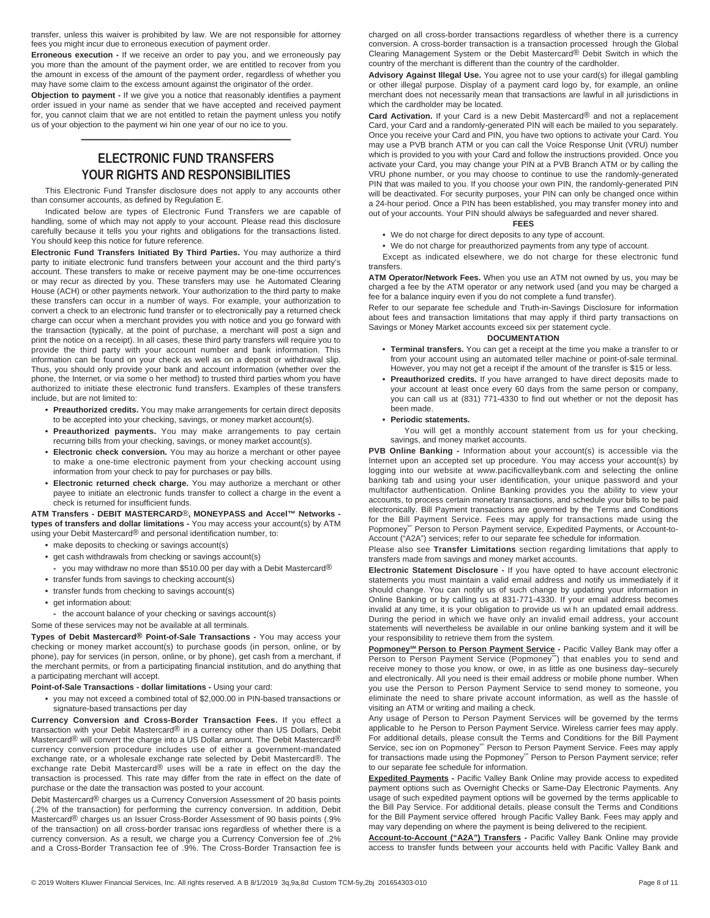transfer, unless this waiver is prohibited by law. We are not responsible for attorney fees you might incur due to erroneous execution of payment order.

**Erroneous execution -** If we receive an order to pay you, and we erroneously pay you more than the amount of the payment order, we are entitled to recover from you the amount in excess of the amount of the payment order, regardless of whether you may have some claim to the excess amount against the originator of the order.

**Objection to payment -** If we give you a notice that reasonably identifies a payment order issued in your name as sender that we have accepted and received payment for, you cannot claim that we are not entitled to retain the payment unless you notify us of your objection to the payment wi hin one year of our no ice to you.

—————————————

## **ELECTRONIC FUND TRANSFERS YOUR RIGHTS AND RESPONSIBILITIES**

This Electronic Fund Transfer disclosure does not apply to any accounts other than consumer accounts, as defined by Regulation E.

Indicated below are types of Electronic Fund Transfers we are capable of handling, some of which may not apply to your account. Please read this disclosure carefully because it tells you your rights and obligations for the transactions listed. You should keep this notice for future reference.

**Electronic Fund Transfers Initiated By Third Parties.** You may authorize a third party to initiate electronic fund transfers between your account and the third party's account. These transfers to make or receive payment may be one-time occurrences or may recur as directed by you. These transfers may use he Automated Clearing House (ACH) or other payments network. Your authorization to the third party to make these transfers can occur in a number of ways. For example, your authorization to convert a check to an electronic fund transfer or to electronically pay a returned check charge can occur when a merchant provides you with notice and you go forward with the transaction (typically, at the point of purchase, a merchant will post a sign and print the notice on a receipt). In all cases, these third party transfers will require you to provide the third party with your account number and bank information. This information can be found on your check as well as on a deposit or withdrawal slip. Thus, you should only provide your bank and account information (whether over the phone, the Internet, or via some o her method) to trusted third parties whom you have authorized to initiate these electronic fund transfers. Examples of these transfers include, but are not limited to:

- **• Preauthorized credits.** You may make arrangements for certain direct deposits to be accepted into your checking, savings, or money market account(s).
- **• Preauthorized payments.** You may make arrangements to pay certain recurring bills from your checking, savings, or money market account(s).
- **• Electronic check conversion.** You may au horize a merchant or other payee to make a one-time electronic payment from your checking account using information from your check to pay for purchases or pay bills.
- **• Electronic returned check charge.** You may authorize a merchant or other payee to initiate an electronic funds transfer to collect a charge in the event a check is returned for insufficient funds.

**ATM Transfers - DEBIT MASTERCARD**®**, MONEYPASS and Accel™ Networks types of transfers and dollar limitations -** You may access your account(s) by ATM using your Debit Mastercard<sup>®</sup> and personal identification number, to:

- **•** make deposits to checking or savings account(s)
- **•** get cash withdrawals from checking or savings account(s)
- **-** you may withdraw no more than \$510.00 per day with a Debit Mastercard®
- **•** transfer funds from savings to checking account(s)
- **•** transfer funds from checking to savings account(s)
- **•** get information about:
- **-** the account balance of your checking or savings account(s)
- Some of these services may not be available at all terminals.

**Types of Debit Mastercard® Point-of-Sale Transactions -** You may access your checking or money market account(s) to purchase goods (in person, online, or by phone), pay for services (in person, online, or by phone), get cash from a merchant, if the merchant permits, or from a participating financial institution, and do anything that a participating merchant will accept.

- **Point-of-Sale Transactions dollar limitations -** Using your card:
	- **•** you may not exceed a combined total of \$2,000.00 in PIN-based transactions or signature-based transactions per day

**Currency Conversion and Cross-Border Transaction Fees.** If you effect a transaction with your Debit Mastercard® in a currency other than US Dollars, Debit Mastercard® will convert the charge into a US Dollar amount. The Debit Mastercard® currency conversion procedure includes use of either a government-mandated exchange rate, or a wholesale exchange rate selected by Debit Mastercard®. The exchange rate Debit Mastercard® uses will be a rate in effect on the day the transaction is processed. This rate may differ from the rate in effect on the date of purchase or the date the transaction was posted to your account.

Debit Mastercard<sup>®</sup> charges us a Currency Conversion Assessment of 20 basis points (.2% of the transaction) for performing the currency conversion. In addition, Debit Mastercard® charges us an Issuer Cross-Border Assessment of 90 basis points (.9% of the transaction) on all cross-border transac ions regardless of whether there is a currency conversion. As a result, we charge you a Currency Conversion fee of .2% and a Cross-Border Transaction fee of .9%. The Cross-Border Transaction fee is

charged on all cross-border transactions regardless of whether there is a currency conversion. A cross-border transaction is a transaction processed hrough the Global Clearing Management System or the Debit Mastercard® Debit Switch in which the country of the merchant is different than the country of the cardholder.

**Advisory Against Illegal Use.** You agree not to use your card(s) for illegal gambling or other illegal purpose. Display of a payment card logo by, for example, an online merchant does not necessarily mean that transactions are lawful in all jurisdictions in which the cardholder may be located.

**Card Activation.** If your Card is a new Debit Mastercard® and not a replacement Card, your Card and a randomly-generated PIN will each be mailed to you separately. Once you receive your Card and PIN, you have two options to activate your Card. You may use a PVB branch ATM or you can call the Voice Response Unit (VRU) number which is provided to you with your Card and follow the instructions provided. Once you activate your Card, you may change your PIN at a PVB Branch ATM or by calling the VRU phone number, or you may choose to continue to use the randomly-generated PIN that was mailed to you. If you choose your own PIN, the randomly-generated PIN will be deactivated. For security purposes, your PIN can only be changed once within a 24-hour period. Once a PIN has been established, you may transfer money into and out of your accounts. Your PIN should always be safeguarded and never shared.

#### **FEES**

**•** We do not charge for direct deposits to any type of account.

**•** We do not charge for preauthorized payments from any type of account.

Except as indicated elsewhere, we do not charge for these electronic fund **transfers** 

**ATM Operator/Network Fees.** When you use an ATM not owned by us, you may be charged a fee by the ATM operator or any network used (and you may be charged a fee for a balance inquiry even if you do not complete a fund transfer).

Refer to our separate fee schedule and Truth-in-Savings Disclosure for information about fees and transaction limitations that may apply if third party transactions on Savings or Money Market accounts exceed six per statement cycle.

#### **DOCUMENTATION**

- **• Terminal transfers.** You can get a receipt at the time you make a transfer to or from your account using an automated teller machine or point-of-sale terminal. However, you may not get a receipt if the amount of the transfer is \$15 or less.
- **• Preauthorized credits.** If you have arranged to have direct deposits made to your account at least once every 60 days from the same person or company, you can call us at (831) 771-4330 to find out whether or not the deposit has been made.
- **• Periodic statements.**

You will get a monthly account statement from us for your checking, savings, and money market accounts.

**PVB Online Banking -** Information about your account(s) is accessible via the Internet upon an accepted set up procedure. You may access your account(s) by logging into our website at www.pacificvalleybank.com and selecting the online banking tab and using your user identification, your unique password and your multifactor authentication. Online Banking provides you the ability to view your accounts, to process certain monetary transactions, and schedule your bills to be paid electronically. Bill Payment transactions are governed by the Terms and Conditions for the Bill Payment Service. Fees may apply for transactions made using the Popmoney<sup>®</sup> Person to Person Payment service, Expedited Payments, or Account-to-Account ("A2A") services; refer to our separate fee schedule for information.

Please also see **Transfer Limitations** section regarding limitations that apply to transfers made from savings and money market accounts.

**Electronic Statement Disclosure -** If you have opted to have account electronic statements you must maintain a valid email address and notify us immediately if it should change. You can notify us of such change by updating your information in Online Banking or by calling us at 831-771-4330. If your email address becomes invalid at any time, it is your obligation to provide us wi h an updated email address. During the period in which we have only an invalid email address, your account statements will nevertheless be available in our online banking system and it will be your responsibility to retrieve them from the system.

**Popmoney℠ Person to Person Payment Service** - Pacific Valley Bank may offer a<br>Person to Person Payment Service (Popmoney<sup>''''</sup>) that enables you to send and receive money to those you know, or owe, in as little as one business day–securely and electronically. All you need is their email address or mobile phone number. When you use the Person to Person Payment Service to send money to someone, you eliminate the need to share private account information, as well as the hassle of visiting an ATM or writing and mailing a check.

Any usage of Person to Person Payment Services will be governed by the terms applicable to he Person to Person Payment Service. Wireless carrier fees may apply. For additional details, please consult the Terms and Conditions for the Bill Payment Service, sec ion on Popmoney\*<sup>m</sup> Person to Person Payment Service. Fees may apply for transactions made using the Popmoney<sup>sm</sup> Person to Person Payment service; refer to our separate fee schedule for information.

**Expedited Payments - Pacific Valley Bank Online may provide access to expedited** payment options such as Overnight Checks or Same-Day Electronic Payments. Any usage of such expedited payment options will be governed by the terms applicable to the Bill Pay Service. For additional details, please consult the Terms and Conditions for the Bill Payment service offered hrough Pacific Valley Bank. Fees may apply and may vary depending on where the payment is being delivered to the recipient.

**Account-to-Account ("A2A") Transfers -** Pacific Valley Bank Online may provide access to transfer funds between your accounts held with Pacific Valley Bank and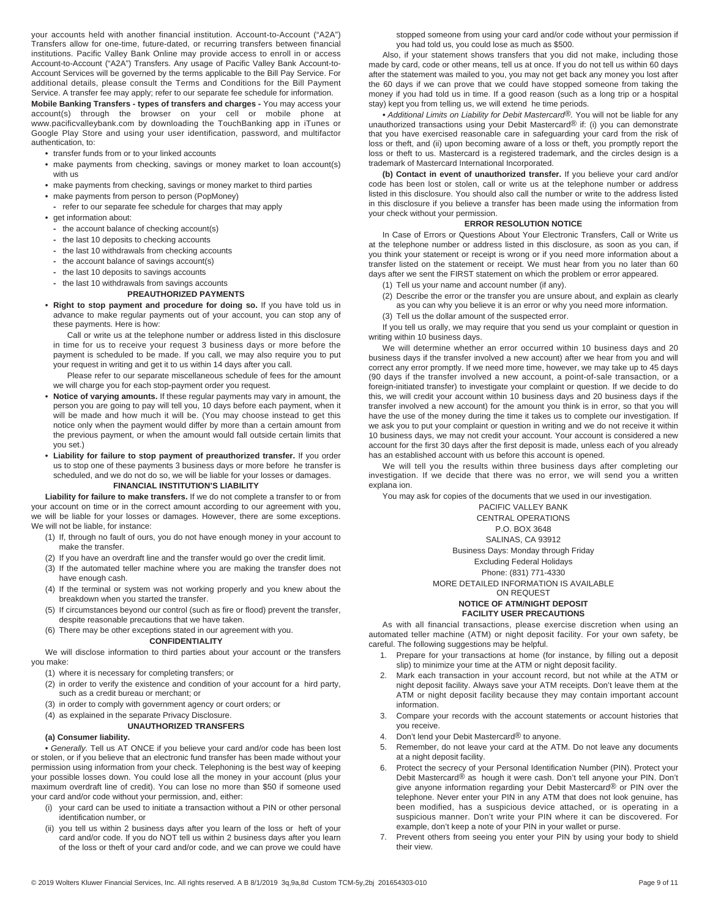your accounts held with another financial institution. Account-to-Account ("A2A") Transfers allow for one-time, future-dated, or recurring transfers between financial institutions. Pacific Valley Bank Online may provide access to enroll in or access Account-to-Account ("A2A") Transfers. Any usage of Pacific Valley Bank Account-to-Account Services will be governed by the terms applicable to the Bill Pay Service. For additional details, please consult the Terms and Conditions for the Bill Payment Service. A transfer fee may apply; refer to our separate fee schedule for information.

**Mobile Banking Transfers - types of transfers and charges -** You may access your account(s) through the browser on your cell or mobile phone at www.pacificvalleybank.com by downloading the TouchBanking app in iTunes or Google Play Store and using your user identification, password, and multifactor authentication, to:

- **•** transfer funds from or to your linked accounts
- **•** make payments from checking, savings or money market to loan account(s) with us
- **•** make payments from checking, savings or money market to third parties
- **•** make payments from person to person (PopMoney)
- **-** refer to our separate fee schedule for charges that may apply
- **•** get information about:
	- **-** the account balance of checking account(s)
	- **-** the last 10 deposits to checking accounts
- **-** the last 10 withdrawals from checking accounts
- **-** the account balance of savings account(s)
- **-** the last 10 deposits to savings accounts

## **-** the last 10 withdrawals from savings accounts

## **PREAUTHORIZED PAYMENTS**

**• Right to stop payment and procedure for doing so.** If you have told us in advance to make regular payments out of your account, you can stop any of these payments. Here is how:

Call or write us at the telephone number or address listed in this disclosure in time for us to receive your request 3 business days or more before the payment is scheduled to be made. If you call, we may also require you to put your request in writing and get it to us within 14 days after you call.

- Please refer to our separate miscellaneous schedule of fees for the amount we will charge you for each stop-payment order you request.
- **• Notice of varying amounts.** If these regular payments may vary in amount, the person you are going to pay will tell you, 10 days before each payment, when it will be made and how much it will be. (You may choose instead to get this notice only when the payment would differ by more than a certain amount from the previous payment, or when the amount would fall outside certain limits that you set.)

**• Liability for failure to stop payment of preauthorized transfer.** If you order us to stop one of these payments 3 business days or more before he transfer is scheduled, and we do not do so, we will be liable for your losses or damages. **FINANCIAL INSTITUTION'S LIABILITY**

**Liability for failure to make transfers.** If we do not complete a transfer to or from your account on time or in the correct amount according to our agreement with you, we will be liable for your losses or damages. However, there are some exceptions. We will not be liable, for instance:

- (1) If, through no fault of ours, you do not have enough money in your account to make the transfer.
- (2) If you have an overdraft line and the transfer would go over the credit limit.
- (3) If the automated teller machine where you are making the transfer does not have enough cash.
- (4) If the terminal or system was not working properly and you knew about the breakdown when you started the transfer.
- (5) If circumstances beyond our control (such as fire or flood) prevent the transfer, despite reasonable precautions that we have taken.
- (6) There may be other exceptions stated in our agreement with you.

#### **CONFIDENTIALITY**

We will disclose information to third parties about your account or the transfers you make:

- (1) where it is necessary for completing transfers; or
- (2) in order to verify the existence and condition of your account for a hird party, such as a credit bureau or merchant; or
- (3) in order to comply with government agency or court orders; or
- (4) as explained in the separate Privacy Disclosure.

#### **UNAUTHORIZED TRANSFERS**

#### **(a) Consumer liability.**

**•** *Generally.* Tell us AT ONCE if you believe your card and/or code has been lost or stolen, or if you believe that an electronic fund transfer has been made without your permission using information from your check. Telephoning is the best way of keeping your possible losses down. You could lose all the money in your account (plus your maximum overdraft line of credit). You can lose no more than \$50 if someone used your card and/or code without your permission, and, either:

- (i) your card can be used to initiate a transaction without a PIN or other personal identification number, or
- you tell us within 2 business days after you learn of the loss or heft of your card and/or code. If you do NOT tell us within 2 business days after you learn of the loss or theft of your card and/or code, and we can prove we could have

stopped someone from using your card and/or code without your permission if you had told us, you could lose as much as \$500.

Also, if your statement shows transfers that you did not make, including those made by card, code or other means, tell us at once. If you do not tell us within 60 days after the statement was mailed to you, you may not get back any money you lost after the 60 days if we can prove that we could have stopped someone from taking the money if you had told us in time. If a good reason (such as a long trip or a hospital stay) kept you from telling us, we will extend he time periods.

**•** *Additional Limits on Liability for Debit Mastercard®.* You will not be liable for any unauthorized transactions using your Debit Mastercard® if: (i) you can demonstrate that you have exercised reasonable care in safeguarding your card from the risk of loss or theft, and (ii) upon becoming aware of a loss or theft, you promptly report the loss or theft to us. Mastercard is a registered trademark, and the circles design is a trademark of Mastercard International Incorporated.

**(b) Contact in event of unauthorized transfer.** If you believe your card and/or code has been lost or stolen, call or write us at the telephone number or address listed in this disclosure. You should also call the number or write to the address listed in this disclosure if you believe a transfer has been made using the information from your check without your permission.

#### **ERROR RESOLUTION NOTICE**

In Case of Errors or Questions About Your Electronic Transfers, Call or Write us at the telephone number or address listed in this disclosure, as soon as you can, if you think your statement or receipt is wrong or if you need more information about a transfer listed on the statement or receipt. We must hear from you no later than 60 days after we sent the FIRST statement on which the problem or error appeared.

- (1) Tell us your name and account number (if any).
- (2) Describe the error or the transfer you are unsure about, and explain as clearly
- as you can why you believe it is an error or why you need more information.
- (3) Tell us the dollar amount of the suspected error.

If you tell us orally, we may require that you send us your complaint or question in writing within 10 business days.

We will determine whether an error occurred within 10 business days and 20 business days if the transfer involved a new account) after we hear from you and will correct any error promptly. If we need more time, however, we may take up to 45 days (90 days if the transfer involved a new account, a point-of-sale transaction, or a foreign-initiated transfer) to investigate your complaint or question. If we decide to do this, we will credit your account within 10 business days and 20 business days if the transfer involved a new account) for the amount you think is in error, so that you will have the use of the money during the time it takes us to complete our investigation. If we ask you to put your complaint or question in writing and we do not receive it within 10 business days, we may not credit your account. Your account is considered a new account for the first 30 days after the first deposit is made, unless each of you already has an established account with us before this account is opened.

We will tell you the results within three business days after completing our investigation. If we decide that there was no error, we will send you a written explana ion.

You may ask for copies of the documents that we used in our investigation.

PACIFIC VALLEY BANK CENTRAL OPERATIONS P.O. BOX 3648 SALINAS, CA 93912 Business Days: Monday through Friday Excluding Federal Holidays Phone: (831) 771-4330

## MORE DETAILED INFORMATION IS AVAILABLE

#### ON REQUEST **NOTICE OF ATM/NIGHT DEPOSIT FACILITY USER PRECAUTIONS**

As with all financial transactions, please exercise discretion when using an automated teller machine (ATM) or night deposit facility. For your own safety, be careful. The following suggestions may be helpful.

- Prepare for your transactions at home (for instance, by filling out a deposit slip) to minimize your time at the ATM or night deposit facility.
- Mark each transaction in your account record, but not while at the ATM or night deposit facility. Always save your ATM receipts. Don't leave them at the ATM or night deposit facility because they may contain important account information.
- 3. Compare your records with the account statements or account histories that you receive.
- 4. Don't lend your Debit Mastercard® to anyone.
- 5. Remember, do not leave your card at the ATM. Do not leave any documents at a night deposit facility.
- Protect the secrecy of your Personal Identification Number (PIN). Protect your Debit Mastercard<sup>®</sup> as hough it were cash. Don't tell anyone your PIN. Don't give anyone information regarding your Debit Mastercard® or PIN over the telephone. Never enter your PIN in any ATM that does not look genuine, has been modified, has a suspicious device attached, or is operating in a suspicious manner. Don't write your PIN where it can be discovered. For example, don't keep a note of your PIN in your wallet or purse.
- 7. Prevent others from seeing you enter your PIN by using your body to shield their view.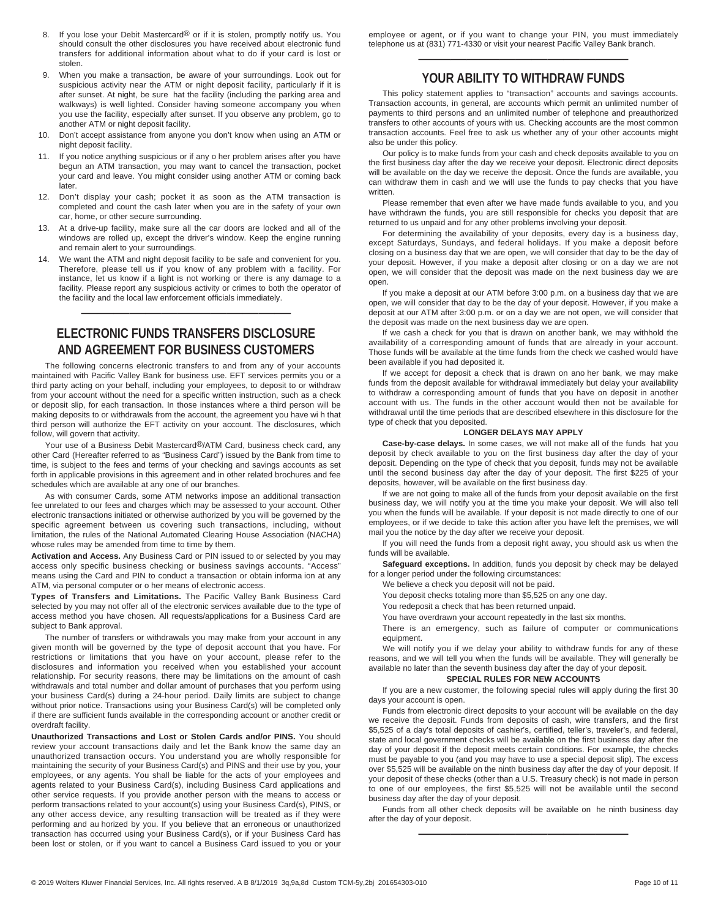- 8. If you lose your Debit Mastercard® or if it is stolen, promptly notify us. You should consult the other disclosures you have received about electronic fund transfers for additional information about what to do if your card is lost or stolen.
- 9. When you make a transaction, be aware of your surroundings. Look out for suspicious activity near the ATM or night deposit facility, particularly if it is after sunset. At night, be sure hat the facility (including the parking area and walkways) is well lighted. Consider having someone accompany you when you use the facility, especially after sunset. If you observe any problem, go to another ATM or night deposit facility.
- 10. Don't accept assistance from anyone you don't know when using an ATM or night deposit facility.
- 11. If you notice anything suspicious or if any o her problem arises after you have begun an ATM transaction, you may want to cancel the transaction, pocket your card and leave. You might consider using another ATM or coming back later.
- 12. Don't display your cash; pocket it as soon as the ATM transaction is completed and count the cash later when you are in the safety of your own car, home, or other secure surrounding.
- 13. At a drive-up facility, make sure all the car doors are locked and all of the windows are rolled up, except the driver's window. Keep the engine running and remain alert to your surroundings.
- 14. We want the ATM and night deposit facility to be safe and convenient for you. Therefore, please tell us if you know of any problem with a facility. For instance, let us know if a light is not working or there is any damage to a facility. Please report any suspicious activity or crimes to both the operator of the facility and the local law enforcement officials immediately.

## **ELECTRONIC FUNDS TRANSFERS DISCLOSURE AND AGREEMENT FOR BUSINESS CUSTOMERS**

—————————————

The following concerns electronic transfers to and from any of your accounts maintained with Pacific Valley Bank for business use. EFT services permits you or a third party acting on your behalf, including your employees, to deposit to or withdraw from your account without the need for a specific written instruction, such as a check or deposit slip, for each transaction. In those instances where a third person will be making deposits to or withdrawals from the account, the agreement you have wi h that third person will authorize the EFT activity on your account. The disclosures, which follow, will govern that activity.

Your use of a Business Debit Mastercard®/ATM Card, business check card, any other Card (Hereafter referred to as "Business Card") issued by the Bank from time to time, is subject to the fees and terms of your checking and savings accounts as set forth in applicable provisions in this agreement and in other related brochures and fee schedules which are available at any one of our branches.

As with consumer Cards, some ATM networks impose an additional transaction fee unrelated to our fees and charges which may be assessed to your account. Other electronic transactions initiated or otherwise authorized by you will be governed by the specific agreement between us covering such transactions, including, without limitation, the rules of the National Automated Clearing House Association (NACHA) whose rules may be amended from time to time by them.

**Activation and Access.** Any Business Card or PIN issued to or selected by you may access only specific business checking or business savings accounts. "Access" means using the Card and PIN to conduct a transaction or obtain informa ion at any ATM, via personal computer or o her means of electronic access.

**Types of Transfers and Limitations.** The Pacific Valley Bank Business Card selected by you may not offer all of the electronic services available due to the type of access method you have chosen. All requests/applications for a Business Card are subject to Bank approval.

The number of transfers or withdrawals you may make from your account in any given month will be governed by the type of deposit account that you have. For restrictions or limitations that you have on your account, please refer to the disclosures and information you received when you established your account relationship. For security reasons, there may be limitations on the amount of cash withdrawals and total number and dollar amount of purchases that you perform using your business Card(s) during a 24-hour period. Daily limits are subject to change without prior notice. Transactions using your Business Card(s) will be completed only if there are sufficient funds available in the corresponding account or another credit or overdraft facility.

**Unauthorized Transactions and Lost or Stolen Cards and/or PINS.** You should review your account transactions daily and let the Bank know the same day an unauthorized transaction occurs. You understand you are wholly responsible for maintaining the security of your Business Card(s) and PINS and their use by you, your employees, or any agents. You shall be liable for the acts of your employees and agents related to your Business Card(s), including Business Card applications and other service requests. If you provide another person with the means to access or perform transactions related to your account(s) using your Business Card(s), PINS, or any other access device, any resulting transaction will be treated as if they were performing and au horized by you. If you believe that an erroneous or unauthorized transaction has occurred using your Business Card(s), or if your Business Card has been lost or stolen, or if you want to cancel a Business Card issued to you or your

employee or agent, or if you want to change your PIN, you must immediately telephone us at (831) 771-4330 or visit your nearest Pacific Valley Bank branch.

## ————————————— **YOUR ABILITY TO WITHDRAW FUNDS**

This policy statement applies to "transaction" accounts and savings accounts. Transaction accounts, in general, are accounts which permit an unlimited number of payments to third persons and an unlimited number of telephone and preauthorized transfers to other accounts of yours with us. Checking accounts are the most common transaction accounts. Feel free to ask us whether any of your other accounts might also be under this policy.

Our policy is to make funds from your cash and check deposits available to you on the first business day after the day we receive your deposit. Electronic direct deposits will be available on the day we receive the deposit. Once the funds are available, you can withdraw them in cash and we will use the funds to pay checks that you have written.

Please remember that even after we have made funds available to you, and you have withdrawn the funds, you are still responsible for checks you deposit that are returned to us unpaid and for any other problems involving your deposit.

For determining the availability of your deposits, every day is a business day, except Saturdays, Sundays, and federal holidays. If you make a deposit before closing on a business day that we are open, we will consider that day to be the day of your deposit. However, if you make a deposit after closing or on a day we are not open, we will consider that the deposit was made on the next business day we are open.

If you make a deposit at our ATM before 3:00 p.m. on a business day that we are open, we will consider that day to be the day of your deposit. However, if you make a deposit at our ATM after 3:00 p.m. or on a day we are not open, we will consider that the deposit was made on the next business day we are open.

If we cash a check for you that is drawn on another bank, we may withhold the availability of a corresponding amount of funds that are already in your account. Those funds will be available at the time funds from the check we cashed would have been available if you had deposited it.

If we accept for deposit a check that is drawn on ano her bank, we may make funds from the deposit available for withdrawal immediately but delay your availability to withdraw a corresponding amount of funds that you have on deposit in another account with us. The funds in the other account would then not be available for withdrawal until the time periods that are described elsewhere in this disclosure for the type of check that you deposited.

#### **LONGER DELAYS MAY APPLY**

**Case-by-case delays.** In some cases, we will not make all of the funds hat you deposit by check available to you on the first business day after the day of your deposit. Depending on the type of check that you deposit, funds may not be available until the second business day after the day of your deposit. The first \$225 of your deposits, however, will be available on the first business day.

If we are not going to make all of the funds from your deposit available on the first business day, we will notify you at the time you make your deposit. We will also tell you when the funds will be available. If your deposit is not made directly to one of our employees, or if we decide to take this action after you have left the premises, we will mail you the notice by the day after we receive your deposit.

If you will need the funds from a deposit right away, you should ask us when the funds will be available.

**Safeguard exceptions.** In addition, funds you deposit by check may be delayed for a longer period under the following circumstances:

We believe a check you deposit will not be paid.

You deposit checks totaling more than \$5,525 on any one day.

You redeposit a check that has been returned unpaid.

You have overdrawn your account repeatedly in the last six months.

There is an emergency, such as failure of computer or communications equipment.

We will notify you if we delay your ability to withdraw funds for any of these reasons, and we will tell you when the funds will be available. They will generally be available no later than the seventh business day after the day of your deposit.

#### **SPECIAL RULES FOR NEW ACCOUNTS**

If you are a new customer, the following special rules will apply during the first 30 days your account is open.

Funds from electronic direct deposits to your account will be available on the day we receive the deposit. Funds from deposits of cash, wire transfers, and the first \$5,525 of a day's total deposits of cashier's, certified, teller's, traveler's, and federal, state and local government checks will be available on the first business day after the day of your deposit if the deposit meets certain conditions. For example, the checks must be payable to you (and you may have to use a special deposit slip). The excess over \$5,525 will be available on the ninth business day after the day of your deposit. If your deposit of these checks (other than a U.S. Treasury check) is not made in person to one of our employees, the first \$5,525 will not be available until the second business day after the day of your deposit.

Funds from all other check deposits will be available on he ninth business day after the day of your deposit. —————————————